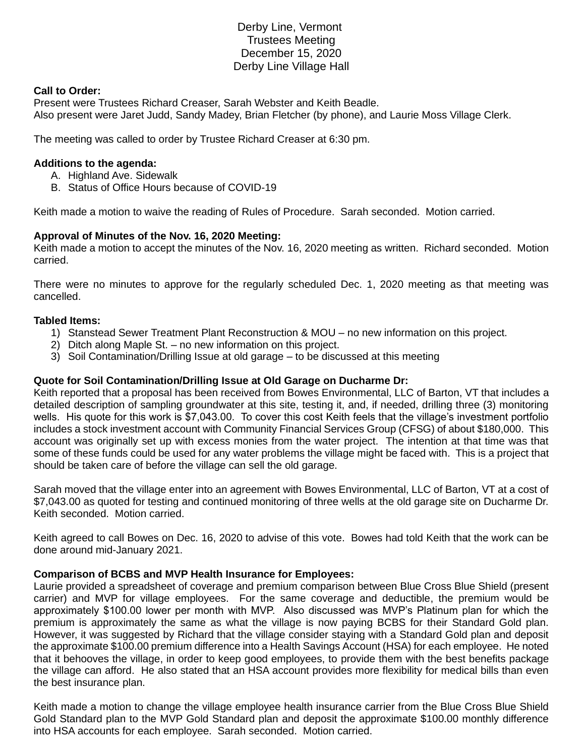# Derby Line, Vermont Trustees Meeting December 15, 2020 Derby Line Village Hall

### **Call to Order:**

Present were Trustees Richard Creaser, Sarah Webster and Keith Beadle. Also present were Jaret Judd, Sandy Madey, Brian Fletcher (by phone), and Laurie Moss Village Clerk.

The meeting was called to order by Trustee Richard Creaser at 6:30 pm.

### **Additions to the agenda:**

- A. Highland Ave. Sidewalk
- B. Status of Office Hours because of COVID-19

Keith made a motion to waive the reading of Rules of Procedure. Sarah seconded. Motion carried.

## **Approval of Minutes of the Nov. 16, 2020 Meeting:**

Keith made a motion to accept the minutes of the Nov. 16, 2020 meeting as written. Richard seconded. Motion carried.

There were no minutes to approve for the regularly scheduled Dec. 1, 2020 meeting as that meeting was cancelled.

### **Tabled Items:**

- 1) Stanstead Sewer Treatment Plant Reconstruction & MOU no new information on this project.
- 2) Ditch along Maple St. no new information on this project.
- 3) Soil Contamination/Drilling Issue at old garage to be discussed at this meeting

### **Quote for Soil Contamination/Drilling Issue at Old Garage on Ducharme Dr:**

Keith reported that a proposal has been received from Bowes Environmental, LLC of Barton, VT that includes a detailed description of sampling groundwater at this site, testing it, and, if needed, drilling three (3) monitoring wells. His quote for this work is \$7,043.00. To cover this cost Keith feels that the village's investment portfolio includes a stock investment account with Community Financial Services Group (CFSG) of about \$180,000. This account was originally set up with excess monies from the water project. The intention at that time was that some of these funds could be used for any water problems the village might be faced with. This is a project that should be taken care of before the village can sell the old garage.

Sarah moved that the village enter into an agreement with Bowes Environmental, LLC of Barton, VT at a cost of \$7,043.00 as quoted for testing and continued monitoring of three wells at the old garage site on Ducharme Dr. Keith seconded. Motion carried.

Keith agreed to call Bowes on Dec. 16, 2020 to advise of this vote. Bowes had told Keith that the work can be done around mid-January 2021.

#### **Comparison of BCBS and MVP Health Insurance for Employees:**

Laurie provided a spreadsheet of coverage and premium comparison between Blue Cross Blue Shield (present carrier) and MVP for village employees. For the same coverage and deductible, the premium would be approximately \$100.00 lower per month with MVP. Also discussed was MVP's Platinum plan for which the premium is approximately the same as what the village is now paying BCBS for their Standard Gold plan. However, it was suggested by Richard that the village consider staying with a Standard Gold plan and deposit the approximate \$100.00 premium difference into a Health Savings Account (HSA) for each employee. He noted that it behooves the village, in order to keep good employees, to provide them with the best benefits package the village can afford. He also stated that an HSA account provides more flexibility for medical bills than even the best insurance plan.

Keith made a motion to change the village employee health insurance carrier from the Blue Cross Blue Shield Gold Standard plan to the MVP Gold Standard plan and deposit the approximate \$100.00 monthly difference into HSA accounts for each employee. Sarah seconded. Motion carried.